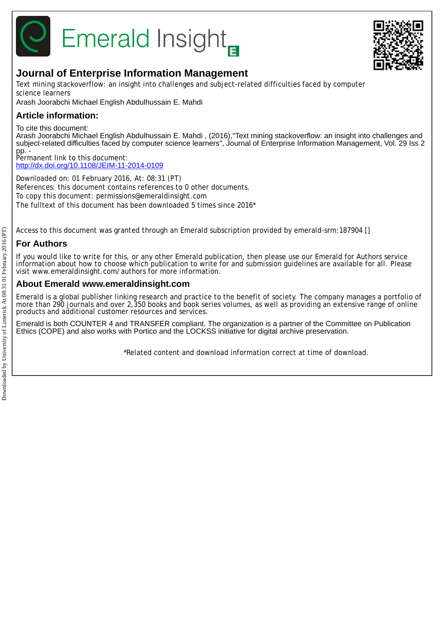

# **Emerald Insight**



# **Journal of Enterprise Information Management**

Text mining stackoverflow: an insight into challenges and subject-related difficulties faced by computer science learners

Arash Joorabchi Michael English Abdulhussain E. Mahdi

# **Article information:**

To cite this document:

Arash Joorabchi Michael English Abdulhussain E. Mahdi , (2016),"Text mining stackoverflow: an insight into challenges and subject-related difficulties faced by computer science learners", Journal of Enterprise Information Management, Vol. 29 Iss 2 pp. -

Permanent link to this document: <http://dx.doi.org/10.1108/JEIM-11-2014-0109>

Downloaded on: 01 February 2016, At: 08:31 (PT) References: this document contains references to 0 other documents. To copy this document: permissions@emeraldinsight.com The fulltext of this document has been downloaded 5 times since 2016\*

Access to this document was granted through an Emerald subscription provided by emerald-srm:187904 []

# **For Authors**

If you would like to write for this, or any other Emerald publication, then please use our Emerald for Authors service information about how to choose which publication to write for and submission guidelines are available for all. Please visit www.emeraldinsight.com/authors for more information.

# **About Emerald www.emeraldinsight.com**

Emerald is a global publisher linking research and practice to the benefit of society. The company manages a portfolio of more than 290 journals and over 2,350 books and book series volumes, as well as providing an extensive range of online products and additional customer resources and services.

Emerald is both COUNTER 4 and TRANSFER compliant. The organization is a partner of the Committee on Publication Ethics (COPE) and also works with Portico and the LOCKSS initiative for digital archive preservation.

\*Related content and download information correct at time of download.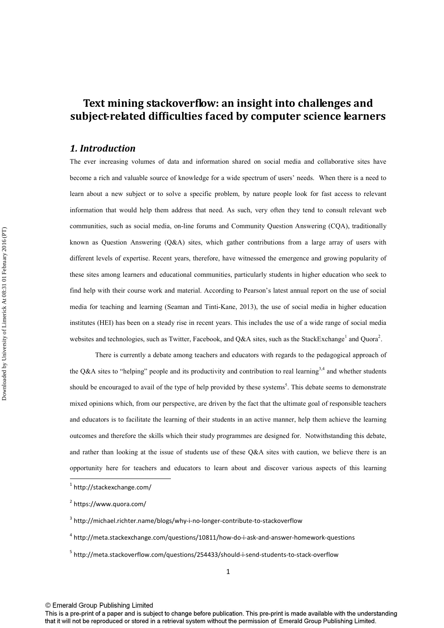# **Text mining stackoverflow: an insight into challenges and subject-related difficulties faced by computer science learners**

## *1. Introduction*

The ever increasing volumes of data and information shared on social media and collaborative sites have become a rich and valuable source of knowledge for a wide spectrum of users' needs. When there is a need to learn about a new subject or to solve a specific problem, by nature people look for fast access to relevant information that would help them address that need. As such, very often they tend to consult relevant web communities, such as social media, on-line forums and Community Question Answering (CQA), traditionally known as Question Answering (Q&A) sites, which gather contributions from a large array of users with different levels of expertise. Recent years, therefore, have witnessed the emergence and growing popularity of these sites among learners and educational communities, particularly students in higher education who seek to find help with their course work and material. According to Pearson's latest annual report on the use of social media for teaching and learning (Seaman and Tinti-Kane, 2013), the use of social media in higher education institutes (HEI) has been on a steady rise in recent years. This includes the use of a wide range of social media websites and technologies, such as Twitter, Facebook, and Q&A sites, such as the StackExchange<sup>1</sup> and Quora<sup>2</sup>.

There is currently a debate among teachers and educators with regards to the pedagogical approach of the Q&A sites to "helping" people and its productivity and contribution to real learning<sup>3,4</sup> and whether students should be encouraged to avail of the type of help provided by these systems<sup>5</sup>. This debate seems to demonstrate mixed opinions which, from our perspective, are driven by the fact that the ultimate goal of responsible teachers and educators is to facilitate the learning of their students in an active manner, help them achieve the learning outcomes and therefore the skills which their study programmes are designed for. Notwithstanding this debate, and rather than looking at the issue of students use of these Q&A sites with caution, we believe there is an opportunity here for teachers and educators to learn about and discover various aspects of this learning

l

<sup>5</sup> http://meta.stackoverflow.com/questions/254433/should-i-send-students-to-stack-overflow

© Emerald Group Publishing Limited

<sup>&</sup>lt;sup>1</sup> http://stackexchange.com/

<sup>&</sup>lt;sup>2</sup> https://www.quora.com/

<sup>&</sup>lt;sup>3</sup> http://michael.richter.name/blogs/why-i-no-longer-contribute-to-stackoverflow

<sup>4</sup> http://meta.stackexchange.com/questions/10811/how-do-i-ask-and-answer-homework-questions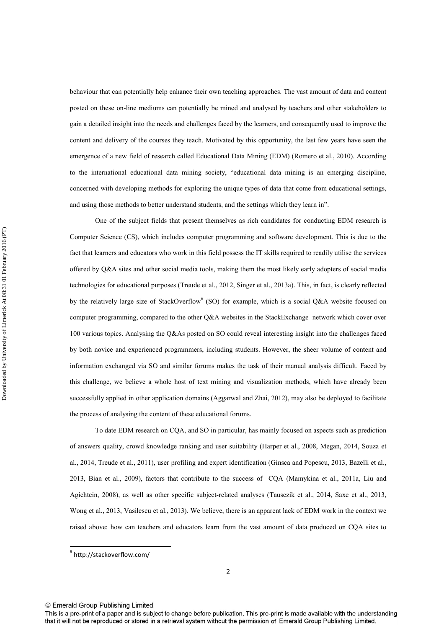behaviour that can potentially help enhance their own teaching approaches. The vast amount of data and content posted on these on-line mediums can potentially be mined and analysed by teachers and other stakeholders to gain a detailed insight into the needs and challenges faced by the learners, and consequently used to improve the content and delivery of the courses they teach. Motivated by this opportunity, the last few years have seen the emergence of a new field of research called Educational Data Mining (EDM) (Romero et al., 2010). According to the international educational data mining society, "educational data mining is an emerging discipline, concerned with developing methods for exploring the unique types of data that come from educational settings, and using those methods to better understand students, and the settings which they learn in".

One of the subject fields that present themselves as rich candidates for conducting EDM research is Computer Science (CS), which includes computer programming and software development. This is due to the fact that learners and educators who work in this field possess the IT skills required to readily utilise the services offered by Q&A sites and other social media tools, making them the most likely early adopters of social media technologies for educational purposes (Treude et al., 2012, Singer et al., 2013a). This, in fact, is clearly reflected by the relatively large size of StackOverflow<sup>6</sup> (SO) for example, which is a social Q&A website focused on computer programming, compared to the other O&A websites in the StackExchange network which cover over 100 various topics. Analysing the Q&As posted on SO could reveal interesting insight into the challenges faced by both novice and experienced programmers, including students. However, the sheer volume of content and information exchanged via SO and similar forums makes the task of their manual analysis difficult. Faced by this challenge, we believe a whole host of text mining and visualization methods, which have already been successfully applied in other application domains (Aggarwal and Zhai, 2012), may also be deployed to facilitate the process of analysing the content of these educational forums.

To date EDM research on CQA, and SO in particular, has mainly focused on aspects such as prediction of answers quality, crowd knowledge ranking and user suitability (Harper et al., 2008, Megan, 2014, Souza et al., 2014, Treude et al., 2011), user profiling and expert identification (Ginsca and Popescu, 2013, Bazelli et al., 2013, Bian et al., 2009), factors that contribute to the success of CQA (Mamykina et al., 2011a, Liu and Agichtein, 2008), as well as other specific subject-related analyses (Tausczik et al., 2014, Saxe et al., 2013, Wong et al., 2013, Vasilescu et al., 2013). We believe, there is an apparent lack of EDM work in the context we raised above: how can teachers and educators learn from the vast amount of data produced on CQA sites to

© Emerald Group Publishing Limited

 $\overline{a}$ 

<sup>6</sup> http://stackoverflow.com/

This is a pre-print of a paper and is subject to change before publication. This pre-print is made available with the understanding that it will not be reproduced or stored in a retrieval system without the permission of Emerald Group Publishing Limited.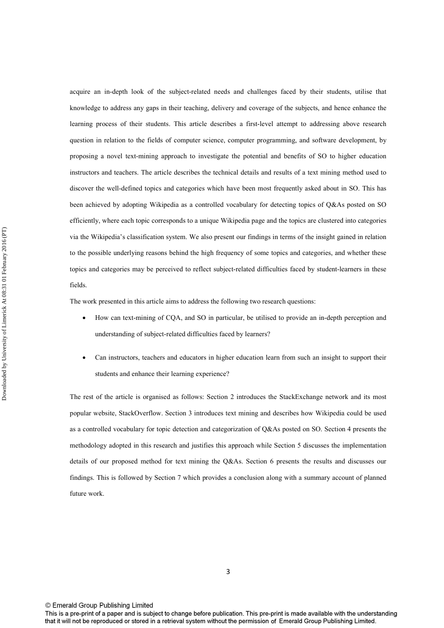acquire an in-depth look of the subject-related needs and challenges faced by their students, utilise that knowledge to address any gaps in their teaching, delivery and coverage of the subjects, and hence enhance the learning process of their students. This article describes a first-level attempt to addressing above research question in relation to the fields of computer science, computer programming, and software development, by proposing a novel text-mining approach to investigate the potential and benefits of SO to higher education instructors and teachers. The article describes the technical details and results of a text mining method used to discover the well-defined topics and categories which have been most frequently asked about in SO. This has been achieved by adopting Wikipedia as a controlled vocabulary for detecting topics of Q&As posted on SO efficiently, where each topic corresponds to a unique Wikipedia page and the topics are clustered into categories via the Wikipedia's classification system. We also present our findings in terms of the insight gained in relation to the possible underlying reasons behind the high frequency of some topics and categories, and whether these topics and categories may be perceived to reflect subject-related difficulties faced by student-learners in these fields.

The work presented in this article aims to address the following two research questions:

- How can text-mining of CQA, and SO in particular, be utilised to provide an in-depth perception and understanding of subject-related difficulties faced by learners?
- Can instructors, teachers and educators in higher education learn from such an insight to support their students and enhance their learning experience?

The rest of the article is organised as follows: Section 2 introduces the StackExchange network and its most popular website, StackOverflow. Section 3 introduces text mining and describes how Wikipedia could be used as a controlled vocabulary for topic detection and categorization of Q&As posted on SO. Section 4 presents the methodology adopted in this research and justifies this approach while Section 5 discusses the implementation details of our proposed method for text mining the Q&As. Section 6 presents the results and discusses our findings. This is followed by Section 7 which provides a conclusion along with a summary account of planned future work.

© Emerald Group Publishing Limited

This is a pre-print of a paper and is subject to change before publication. This pre-print is made available with the understanding that it will not be reproduced or stored in a retrieval system without the permission of Emerald Group Publishing Limited.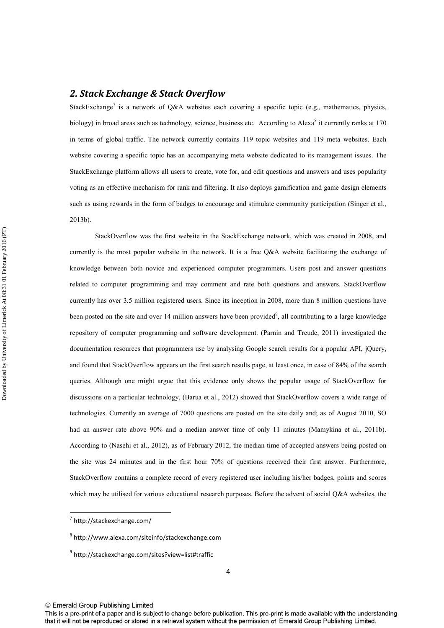# *2. Stack Exchange & Stack Overflow*

StackExchange<sup>7</sup> is a network of Q&A websites each covering a specific topic (e.g., mathematics, physics, biology) in broad areas such as technology, science, business etc. According to Alexa<sup>8</sup> it currently ranks at 170 in terms of global traffic. The network currently contains 119 topic websites and 119 meta websites. Each website covering a specific topic has an accompanying meta website dedicated to its management issues. The StackExchange platform allows all users to create, vote for, and edit questions and answers and uses popularity voting as an effective mechanism for rank and filtering. It also deploys gamification and game design elements such as using rewards in the form of badges to encourage and stimulate community participation (Singer et al., 2013b).

StackOverflow was the first website in the StackExchange network, which was created in 2008, and currently is the most popular website in the network. It is a free Q&A website facilitating the exchange of knowledge between both novice and experienced computer programmers. Users post and answer questions related to computer programming and may comment and rate both questions and answers. StackOverflow currently has over 3.5 million registered users. Since its inception in 2008, more than 8 million questions have been posted on the site and over 14 million answers have been provided<sup>9</sup>, all contributing to a large knowledge repository of computer programming and software development. (Parnin and Treude, 2011) investigated the documentation resources that programmers use by analysing Google search results for a popular API, jQuery, and found that StackOverflow appears on the first search results page, at least once, in case of 84% of the search queries. Although one might argue that this evidence only shows the popular usage of StackOverflow for discussions on a particular technology, (Barua et al., 2012) showed that StackOverflow covers a wide range of technologies. Currently an average of 7000 questions are posted on the site daily and; as of August 2010, SO had an answer rate above 90% and a median answer time of only 11 minutes (Mamykina et al., 2011b). According to (Nasehi et al., 2012), as of February 2012, the median time of accepted answers being posted on the site was 24 minutes and in the first hour 70% of questions received their first answer. Furthermore, StackOverflow contains a complete record of every registered user including his/her badges, points and scores which may be utilised for various educational research purposes. Before the advent of social Q&A websites, the

 $\overline{a}$ 

<sup>&</sup>lt;sup>7</sup> http://stackexchange.com/

<sup>8</sup> http://www.alexa.com/siteinfo/stackexchange.com

<sup>&</sup>lt;sup>9</sup> http://stackexchange.com/sites?view=list#traffic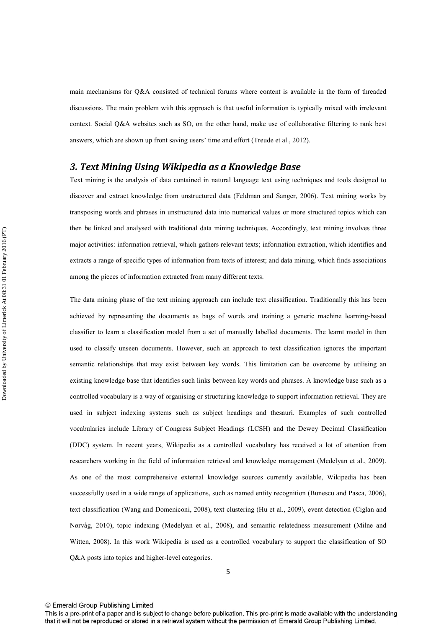main mechanisms for Q&A consisted of technical forums where content is available in the form of threaded discussions. The main problem with this approach is that useful information is typically mixed with irrelevant context. Social Q&A websites such as SO, on the other hand, make use of collaborative filtering to rank best answers, which are shown up front saving users' time and effort (Treude et al., 2012).

# *3. Text Mining Using Wikipedia as a Knowledge Base*

Text mining is the analysis of data contained in natural language text using techniques and tools designed to discover and extract knowledge from unstructured data (Feldman and Sanger, 2006). Text mining works by transposing words and phrases in unstructured data into numerical values or more structured topics which can then be linked and analysed with traditional data mining techniques. Accordingly, text mining involves three major activities: information retrieval, which gathers relevant texts; information extraction, which identifies and extracts a range of specific types of information from texts of interest; and data mining, which finds associations among the pieces of information extracted from many different texts.

The data mining phase of the text mining approach can include text classification. Traditionally this has been achieved by representing the documents as bags of words and training a generic machine learning-based classifier to learn a classification model from a set of manually labelled documents. The learnt model in then used to classify unseen documents. However, such an approach to text classification ignores the important semantic relationships that may exist between key words. This limitation can be overcome by utilising an existing knowledge base that identifies such links between key words and phrases. A knowledge base such as a controlled vocabulary is a way of organising or structuring knowledge to support information retrieval. They are used in subject indexing systems such as subject headings and thesauri. Examples of such controlled vocabularies include Library of Congress Subject Headings (LCSH) and the Dewey Decimal Classification (DDC) system. In recent years, Wikipedia as a controlled vocabulary has received a lot of attention from researchers working in the field of information retrieval and knowledge management (Medelyan et al., 2009). As one of the most comprehensive external knowledge sources currently available, Wikipedia has been successfully used in a wide range of applications, such as named entity recognition (Bunescu and Pasca, 2006), text classification (Wang and Domeniconi, 2008), text clustering (Hu et al., 2009), event detection (Ciglan and Nørvåg, 2010), topic indexing (Medelyan et al., 2008), and semantic relatedness measurement (Milne and Witten, 2008). In this work Wikipedia is used as a controlled vocabulary to support the classification of SO Q&A posts into topics and higher-level categories.

This is a pre-print of a paper and is subject to change before publication. This pre-print is made available with the understanding that it will not be reproduced or stored in a retrieval system without the permission of Emerald Group Publishing Limited.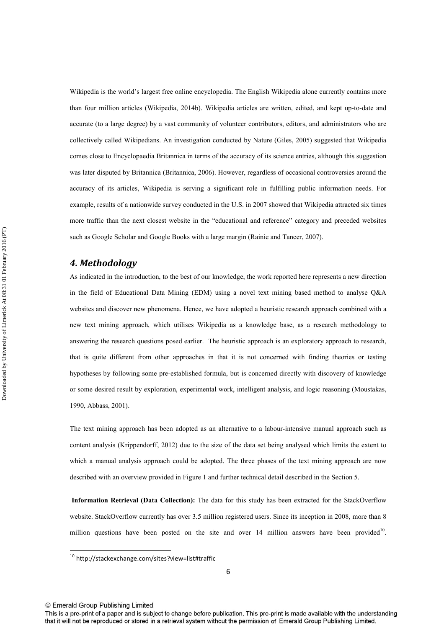Wikipedia is the world's largest free online encyclopedia. The English Wikipedia alone currently contains more than four million articles (Wikipedia, 2014b). Wikipedia articles are written, edited, and kept up-to-date and accurate (to a large degree) by a vast community of volunteer contributors, editors, and administrators who are collectively called Wikipedians. An investigation conducted by Nature (Giles, 2005) suggested that Wikipedia comes close to Encyclopaedia Britannica in terms of the accuracy of its science entries, although this suggestion was later disputed by Britannica (Britannica, 2006). However, regardless of occasional controversies around the accuracy of its articles, Wikipedia is serving a significant role in fulfilling public information needs. For example, results of a nationwide survey conducted in the U.S. in 2007 showed that Wikipedia attracted six times more traffic than the next closest website in the "educational and reference" category and preceded websites such as Google Scholar and Google Books with a large margin (Rainie and Tancer, 2007).

#### *4. Methodology*

As indicated in the introduction, to the best of our knowledge, the work reported here represents a new direction in the field of Educational Data Mining (EDM) using a novel text mining based method to analyse Q&A websites and discover new phenomena. Hence, we have adopted a heuristic research approach combined with a new text mining approach, which utilises Wikipedia as a knowledge base, as a research methodology to answering the research questions posed earlier. The heuristic approach is an exploratory approach to research, that is quite different from other approaches in that it is not concerned with finding theories or testing hypotheses by following some pre-established formula, but is concerned directly with discovery of knowledge or some desired result by exploration, experimental work, intelligent analysis, and logic reasoning (Moustakas, 1990, Abbass, 2001).

The text mining approach has been adopted as an alternative to a labour-intensive manual approach such as content analysis (Krippendorff, 2012) due to the size of the data set being analysed which limits the extent to which a manual analysis approach could be adopted. The three phases of the text mining approach are now described with an overview provided in Figure 1 and further technical detail described in the Section 5.

**Information Retrieval (Data Collection):** The data for this study has been extracted for the StackOverflow website. StackOverflow currently has over 3.5 million registered users. Since its inception in 2008, more than 8 million questions have been posted on the site and over 14 million answers have been provided<sup>10</sup>.

© Emerald Group Publishing Limited

 $\overline{a}$ 

<sup>10</sup> http://stackexchange.com/sites?view=list#traffic

This is a pre-print of a paper and is subject to change before publication. This pre-print is made available with the understanding that it will not be reproduced or stored in a retrieval system without the permission of Emerald Group Publishing Limited.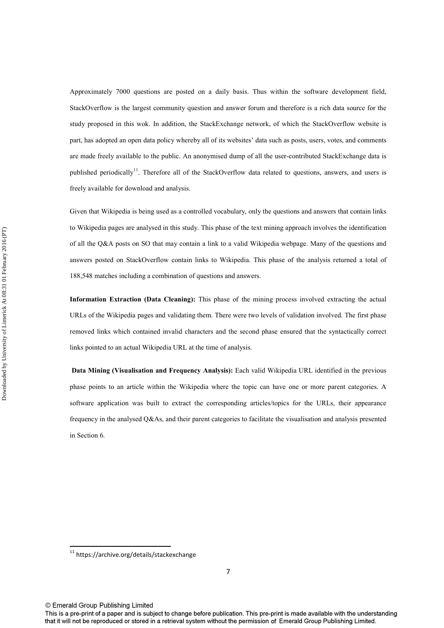Approximately 7000 questions are posted on a daily basis. Thus within the software development field, StackOverflow is the largest community question and answer forum and therefore is a rich data source for the study proposed in this wok. In addition, the StackExchange network, of which the StackOverflow website is part, has adopted an open data policy whereby all of its websites' data such as posts, users, votes, and comments are made freely available to the public. An anonymised dump of all the user-contributed StackExchange data is published periodically<sup>11</sup>. Therefore all of the StackOverflow data related to questions, answers, and users is freely available for download and analysis.

Given that Wikipedia is being used as a controlled vocabulary, only the questions and answers that contain links to Wikipedia pages are analysed in this study. This phase of the text mining approach involves the identification of all the Q&A posts on SO that may contain a link to a valid Wikipedia webpage. Many of the questions and answers posted on StackOverflow contain links to Wikipedia. This phase of the analysis returned a total of 188,548 matches including a combination of questions and answers.

**Information Extraction (Data Cleaning):** This phase of the mining process involved extracting the actual URLs of the Wikipedia pages and validating them. There were two levels of validation involved. The first phase removed links which contained invalid characters and the second phase ensured that the syntactically correct links pointed to an actual Wikipedia URL at the time of analysis.

**Data Mining (Visualisation and Frequency Analysis):** Each valid Wikipedia URL identified in the previous phase points to an article within the Wikipedia where the topic can have one or more parent categories. A software application was built to extract the corresponding articles/topics for the URLs, their appearance frequency in the analysed Q&As, and their parent categories to facilitate the visualisation and analysis presented in Section 6.

 $\overline{a}$ 

<sup>11</sup> https://archive.org/details/stackexchange

<sup>©</sup> Emerald Group Publishing Limited

This is a pre-print of a paper and is subject to change before publication. This pre-print is made available with the understanding that it will not be reproduced or stored in a retrieval system without the permission of Emerald Group Publishing Limited.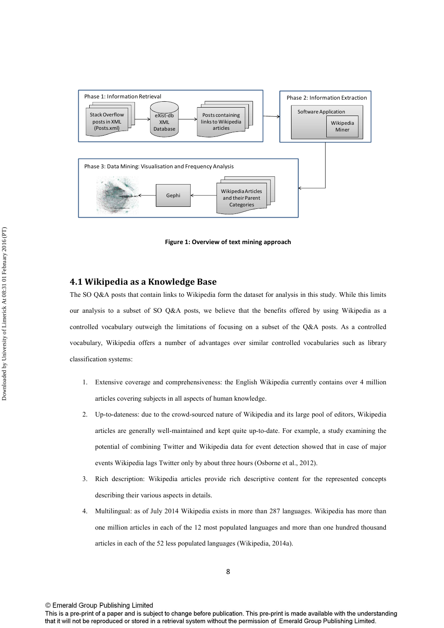

**Figure 1: Overview of text mining approach** 

# **4.1 Wikipedia as a Knowledge Base**

The SO Q&A posts that contain links to Wikipedia form the dataset for analysis in this study. While this limits our analysis to a subset of SO Q&A posts, we believe that the benefits offered by using Wikipedia as a controlled vocabulary outweigh the limitations of focusing on a subset of the Q&A posts. As a controlled vocabulary, Wikipedia offers a number of advantages over similar controlled vocabularies such as library classification systems:

- 1. Extensive coverage and comprehensiveness: the English Wikipedia currently contains over 4 million articles covering subjects in all aspects of human knowledge.
- 2. Up-to-dateness: due to the crowd-sourced nature of Wikipedia and its large pool of editors, Wikipedia articles are generally well-maintained and kept quite up-to-date. For example, a study examining the potential of combining Twitter and Wikipedia data for event detection showed that in case of major events Wikipedia lags Twitter only by about three hours (Osborne et al., 2012).
- 3. Rich description: Wikipedia articles provide rich descriptive content for the represented concepts describing their various aspects in details.
- 4. Multilingual: as of July 2014 Wikipedia exists in more than 287 languages. Wikipedia has more than one million articles in each of the 12 most populated languages and more than one hundred thousand articles in each of the 52 less populated languages (Wikipedia, 2014a).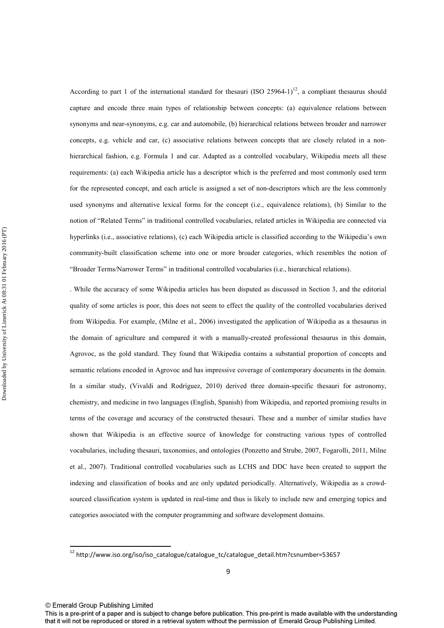According to part 1 of the international standard for thesauri (ISO 25964-1)<sup>12</sup>, a compliant thesaurus should capture and encode three main types of relationship between concepts: (a) equivalence relations between synonyms and near-synonyms, e.g. car and automobile, (b) hierarchical relations between broader and narrower concepts, e.g. vehicle and car, (c) associative relations between concepts that are closely related in a nonhierarchical fashion, e.g. Formula 1 and car. Adapted as a controlled vocabulary, Wikipedia meets all these requirements: (a) each Wikipedia article has a descriptor which is the preferred and most commonly used term for the represented concept, and each article is assigned a set of non-descriptors which are the less commonly used synonyms and alternative lexical forms for the concept (i.e., equivalence relations), (b) Similar to the notion of "Related Terms" in traditional controlled vocabularies, related articles in Wikipedia are connected via hyperlinks (i.e., associative relations), (c) each Wikipedia article is classified according to the Wikipedia's own community-built classification scheme into one or more broader categories, which resembles the notion of "Broader Terms/Narrower Terms" in traditional controlled vocabularies (i.e., hierarchical relations).

. While the accuracy of some Wikipedia articles has been disputed as discussed in Section 3, and the editorial quality of some articles is poor, this does not seem to effect the quality of the controlled vocabularies derived from Wikipedia. For example, (Milne et al., 2006) investigated the application of Wikipedia as a thesaurus in the domain of agriculture and compared it with a manually-created professional thesaurus in this domain, Agrovoc, as the gold standard. They found that Wikipedia contains a substantial proportion of concepts and semantic relations encoded in Agrovoc and has impressive coverage of contemporary documents in the domain. In a similar study, (Vivaldi and Rodríguez, 2010) derived three domain-specific thesauri for astronomy, chemistry, and medicine in two languages (English, Spanish) from Wikipedia, and reported promising results in terms of the coverage and accuracy of the constructed thesauri. These and a number of similar studies have shown that Wikipedia is an effective source of knowledge for constructing various types of controlled vocabularies, including thesauri, taxonomies, and ontologies (Ponzetto and Strube, 2007, Fogarolli, 2011, Milne et al., 2007). Traditional controlled vocabularies such as LCHS and DDC have been created to support the indexing and classification of books and are only updated periodically. Alternatively, Wikipedia as a crowdsourced classification system is updated in real-time and thus is likely to include new and emerging topics and categories associated with the computer programming and software development domains.

 $\overline{a}$ 

<sup>&</sup>lt;sup>12</sup> http://www.iso.org/iso/iso\_catalogue/catalogue\_tc/catalogue\_detail.htm?csnumber=53657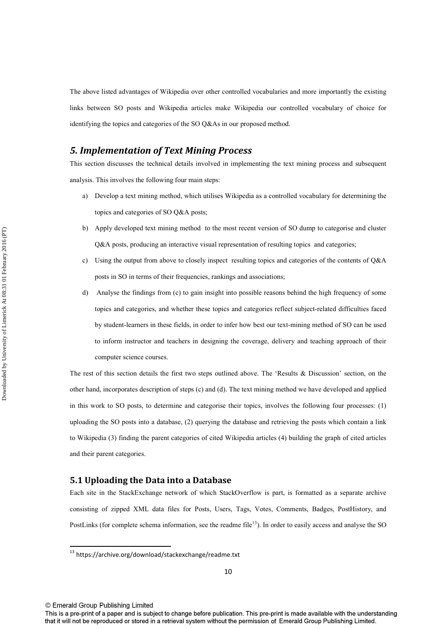The above listed advantages of Wikipedia over other controlled vocabularies and more importantly the existing links between SO posts and Wikipedia articles make Wikipedia our controlled vocabulary of choice for identifying the topics and categories of the SO Q&As in our proposed method.

# *5. Implementation of Text Mining Process*

This section discusses the technical details involved in implementing the text mining process and subsequent analysis. This involves the following four main steps:

- a) Develop a text mining method, which utilises Wikipedia as a controlled vocabulary for determining the topics and categories of SO Q&A posts;
- b) Apply developed text mining method to the most recent version of SO dump to categorise and cluster Q&A posts, producing an interactive visual representation of resulting topics and categories;
- c) Using the output from above to closely inspect resulting topics and categories of the contents of Q&A posts in SO in terms of their frequencies, rankings and associations;
- d) Analyse the findings from (c) to gain insight into possible reasons behind the high frequency of some topics and categories, and whether these topics and categories reflect subject-related difficulties faced by student-learners in these fields, in order to infer how best our text-mining method of SO can be used to inform instructor and teachers in designing the coverage, delivery and teaching approach of their computer science courses.

The rest of this section details the first two steps outlined above. The 'Results & Discussion' section, on the other hand, incorporates description of steps (c) and (d). The text mining method we have developed and applied in this work to SO posts, to determine and categorise their topics, involves the following four processes: (1) uploading the SO posts into a database, (2) querying the database and retrieving the posts which contain a link to Wikipedia (3) finding the parent categories of cited Wikipedia articles (4) building the graph of cited articles and their parent categories.

#### **5.1 Uploading the Data into a Database**

Each site in the StackExchange network of which StackOverflow is part, is formatted as a separate archive consisting of zipped XML data files for Posts, Users, Tags, Votes, Comments, Badges, PostHistory, and PostLinks (for complete schema information, see the readme file<sup>13</sup>). In order to easily access and analyse the SO

© Emerald Group Publishing Limited

 $\overline{a}$ 

 $^{13}$  https://archive.org/download/stackexchange/readme.txt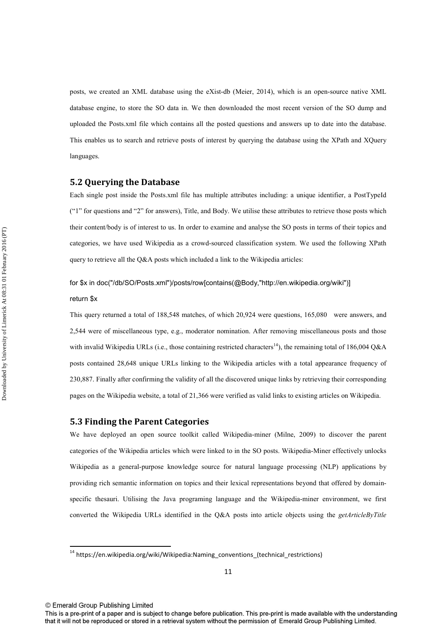posts, we created an XML database using the eXist-db (Meier, 2014), which is an open-source native XML database engine, to store the SO data in. We then downloaded the most recent version of the SO dump and uploaded the Posts.xml file which contains all the posted questions and answers up to date into the database. This enables us to search and retrieve posts of interest by querying the database using the XPath and XQuery languages.

#### **5.2 Querying the Database**

Each single post inside the Posts.xml file has multiple attributes including: a unique identifier, a PostTypeId ("1" for questions and "2" for answers), Title, and Body. We utilise these attributes to retrieve those posts which their content/body is of interest to us. In order to examine and analyse the SO posts in terms of their topics and categories, we have used Wikipedia as a crowd-sourced classification system. We used the following XPath query to retrieve all the  $O&A$  posts which included a link to the Wikipedia articles:

# for \$x in doc("/db/SO/Posts.xml")/posts/row[contains(@Body,"http://en.wikipedia.org/wiki")]

#### return \$x

This query returned a total of 188,548 matches, of which 20,924 were questions, 165,080 were answers, and 2,544 were of miscellaneous type, e.g., moderator nomination. After removing miscellaneous posts and those with invalid Wikipedia URLs (i.e., those containing restricted characters<sup>14</sup>), the remaining total of 186,004 Q&A posts contained 28,648 unique URLs linking to the Wikipedia articles with a total appearance frequency of 230,887. Finally after confirming the validity of all the discovered unique links by retrieving their corresponding pages on the Wikipedia website, a total of 21,366 were verified as valid links to existing articles on Wikipedia.

#### **5.3 Finding the Parent Categories**

We have deployed an open source toolkit called Wikipedia-miner (Milne, 2009) to discover the parent categories of the Wikipedia articles which were linked to in the SO posts. Wikipedia-Miner effectively unlocks Wikipedia as a general-purpose knowledge source for natural language processing (NLP) applications by providing rich semantic information on topics and their lexical representations beyond that offered by domainspecific thesauri. Utilising the Java programing language and the Wikipedia-miner environment, we first converted the Wikipedia URLs identified in the Q&A posts into article objects using the *getArticleByTitle*

 $\overline{a}$ 

 $14$  https://en.wikipedia.org/wiki/Wikipedia:Naming\_conventions\_(technical\_restrictions)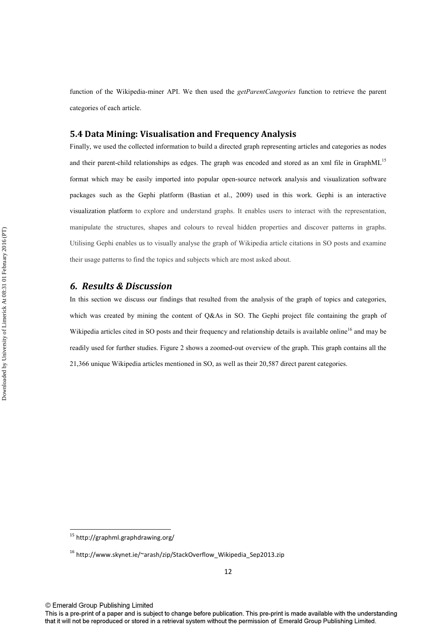function of the Wikipedia-miner API. We then used the *getParentCategories* function to retrieve the parent categories of each article.

### **5.4 Data Mining: Visualisation and Frequency Analysis**

Finally, we used the collected information to build a directed graph representing articles and categories as nodes and their parent-child relationships as edges. The graph was encoded and stored as an xml file in GraphML<sup>15</sup> format which may be easily imported into popular open-source network analysis and visualization software packages such as the Gephi platform (Bastian et al., 2009) used in this work. Gephi is an interactive visualization platform to explore and understand graphs. It enables users to interact with the representation, manipulate the structures, shapes and colours to reveal hidden properties and discover patterns in graphs. Utilising Gephi enables us to visually analyse the graph of Wikipedia article citations in SO posts and examine their usage patterns to find the topics and subjects which are most asked about.

### *6. Results & Discussion*

In this section we discuss our findings that resulted from the analysis of the graph of topics and categories, which was created by mining the content of Q&As in SO. The Gephi project file containing the graph of Wikipedia articles cited in SO posts and their frequency and relationship details is available online<sup>16</sup> and may be readily used for further studies. Figure 2 shows a zoomed-out overview of the graph. This graph contains all the 21,366 unique Wikipedia articles mentioned in SO, as well as their 20,587 direct parent categories.

l

<sup>&</sup>lt;sup>15</sup> http://graphml.graphdrawing.org/

 $16$  http://www.skynet.ie/~arash/zip/StackOverflow\_Wikipedia\_Sep2013.zip

This is a pre-print of a paper and is subject to change before publication. This pre-print is made available with the understanding that it will not be reproduced or stored in a retrieval system without the permission of Emerald Group Publishing Limited.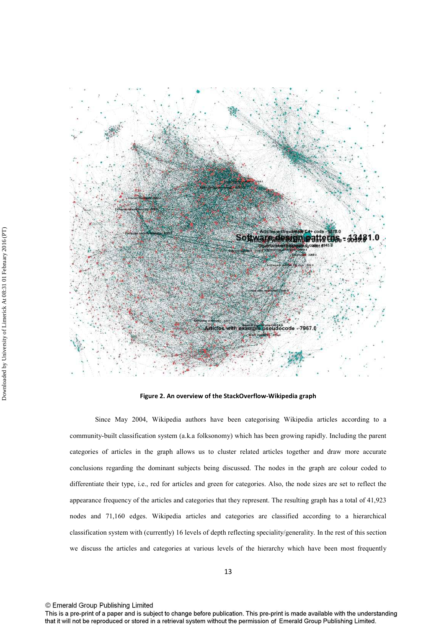

**Figure 2. An overview of the StackOverflow-Wikipedia graph** 

Since May 2004, Wikipedia authors have been categorising Wikipedia articles according to a community-built classification system (a.k.a folksonomy) which has been growing rapidly. Including the parent categories of articles in the graph allows us to cluster related articles together and draw more accurate conclusions regarding the dominant subjects being discussed. The nodes in the graph are colour coded to differentiate their type, i.e., red for articles and green for categories. Also, the node sizes are set to reflect the appearance frequency of the articles and categories that they represent. The resulting graph has a total of 41,923 nodes and 71,160 edges. Wikipedia articles and categories are classified according to a hierarchical classification system with (currently) 16 levels of depth reflecting speciality/generality. In the rest of this section we discuss the articles and categories at various levels of the hierarchy which have been most frequently

This is a pre-print of a paper and is subject to change before publication. This pre-print is made available with the understanding that it will not be reproduced or stored in a retrieval system without the permission of Emerald Group Publishing Limited.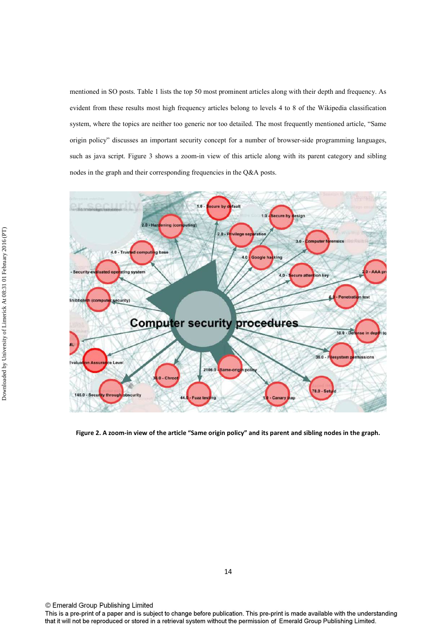mentioned in SO posts. Table 1 lists the top 50 most prominent articles along with their depth and frequency. As evident from these results most high frequency articles belong to levels 4 to 8 of the Wikipedia classification system, where the topics are neither too generic nor too detailed. The most frequently mentioned article, "Same origin policy" discusses an important security concept for a number of browser-side programming languages, such as java script. Figure 3 shows a zoom-in view of this article along with its parent category and sibling nodes in the graph and their corresponding frequencies in the Q&A posts.



**Figure 2. A zoom-in view of the article "Same origin policy" and its parent and sibling nodes in the graph.**

© Emerald Group Publishing Limited

This is a pre-print of a paper and is subject to change before publication. This pre-print is made available with the understanding that it will not be reproduced or stored in a retrieval system without the permission of Emerald Group Publishing Limited.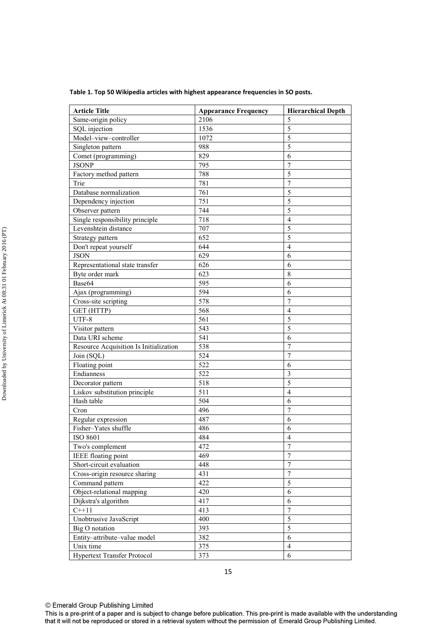| Table 1. Top 50 Wikipedia articles with highest appearance frequencies in SO posts. |  |
|-------------------------------------------------------------------------------------|--|
|-------------------------------------------------------------------------------------|--|

| <b>Article Title</b>                   | <b>Appearance Frequency</b> | <b>Hierarchical Depth</b> |  |
|----------------------------------------|-----------------------------|---------------------------|--|
| Same-origin policy                     | 2106                        | 5                         |  |
| SQL injection                          | 1536                        | $\overline{5}$            |  |
| Model-view-controller                  | 1072                        | 5                         |  |
| Singleton pattern                      | 988                         | 5                         |  |
| Comet (programming)                    | 829                         | 6                         |  |
| <b>JSONP</b>                           | 795                         | $\overline{7}$            |  |
| Factory method pattern                 | 788                         | 5                         |  |
| Trie                                   | 781                         | $\overline{7}$            |  |
| Database normalization                 | 761                         | 5                         |  |
| Dependency injection                   | 751                         | 5                         |  |
| Observer pattern                       | 744                         | $\overline{\mathbf{5}}$   |  |
| Single responsibility principle        | 718                         | $\overline{4}$            |  |
| Levenshtein distance                   | 707                         | 5                         |  |
| Strategy pattern                       | 652                         | 5                         |  |
| Don't repeat yourself                  | 644                         | $\overline{4}$            |  |
| <b>JSON</b>                            | 629                         | 6                         |  |
| Representational state transfer        | 626                         | 6                         |  |
| Byte order mark                        | 623                         | 8                         |  |
| Base64                                 | 595                         | 6                         |  |
| Ajax (programming)                     | 594                         | 6                         |  |
| Cross-site scripting                   | 578                         | $\overline{7}$            |  |
| GET (HTTP)                             | 568                         | 4                         |  |
| UTF-8                                  | 561                         | 5                         |  |
| Visitor pattern                        | 543                         | 5                         |  |
| Data URI scheme                        | 541                         | 6                         |  |
| Resource Acquisition Is Initialization | 538                         | $\overline{7}$            |  |
| Join (SQL)                             | 524                         | $\overline{7}$            |  |
| Floating point                         | 522                         | 6                         |  |
| Endianness                             | 522                         | $\overline{3}$            |  |
| Decorator pattern                      | 518                         | 5                         |  |
| Liskov substitution principle          | 511                         | $\overline{4}$            |  |
| Hash table                             | 504                         | 6                         |  |
| Cron                                   | 496                         | $\overline{7}$            |  |
| Regular expression                     | 487                         | 6                         |  |
| Fisher-Yates shuffle                   | 486                         | 6                         |  |
| ISO 8601                               | 484                         | $\overline{4}$            |  |
| Two's complement                       | 472                         | 7                         |  |
| <b>IEEE</b> floating point             | 469                         | $\overline{7}$            |  |
| Short-circuit evaluation               | 448                         | $\overline{7}$            |  |
| Cross-origin resource sharing          | 431                         | $\overline{7}$            |  |
| Command pattern                        | 422                         | 5                         |  |
| Object-relational mapping              | 420                         | 6                         |  |
| Dijkstra's algorithm                   | 417                         | 6                         |  |
| $C++11$                                | 413                         | $\overline{7}$            |  |
| Unobtrusive JavaScript                 | 400                         | 5                         |  |
| Big O notation                         | 393                         | 5                         |  |
| Entity-attribute-value model           | 382                         | 6                         |  |
| Unix time                              | 375                         | $\overline{4}$            |  |
| Hypertext Transfer Protocol            | 373                         | 6                         |  |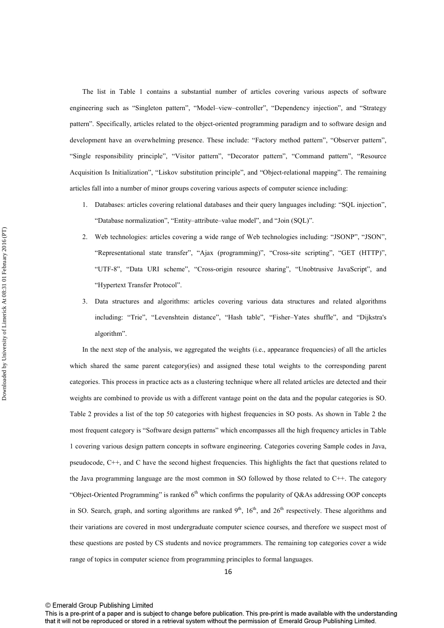The list in Table 1 contains a substantial number of articles covering various aspects of software engineering such as "Singleton pattern", "Model–view–controller", "Dependency injection", and "Strategy pattern". Specifically, articles related to the object-oriented programming paradigm and to software design and development have an overwhelming presence. These include: "Factory method pattern", "Observer pattern", "Single responsibility principle", "Visitor pattern", "Decorator pattern", "Command pattern", "Resource Acquisition Is Initialization", "Liskov substitution principle", and "Object-relational mapping". The remaining articles fall into a number of minor groups covering various aspects of computer science including:

- 1. Databases: articles covering relational databases and their query languages including: "SQL injection", "Database normalization", "Entity–attribute–value model", and "Join (SQL)".
- 2. Web technologies: articles covering a wide range of Web technologies including: "JSONP", "JSON", "Representational state transfer", "Ajax (programming)", "Cross-site scripting", "GET (HTTP)", "UTF-8", "Data URI scheme", "Cross-origin resource sharing", "Unobtrusive JavaScript", and "Hypertext Transfer Protocol".
- 3. Data structures and algorithms: articles covering various data structures and related algorithms including: "Trie", "Levenshtein distance", "Hash table", "Fisher–Yates shuffle", and "Dijkstra's algorithm".

In the next step of the analysis, we aggregated the weights (i.e., appearance frequencies) of all the articles which shared the same parent category(ies) and assigned these total weights to the corresponding parent categories. This process in practice acts as a clustering technique where all related articles are detected and their weights are combined to provide us with a different vantage point on the data and the popular categories is SO. Table 2 provides a list of the top 50 categories with highest frequencies in SO posts. As shown in Table 2 the most frequent category is "Software design patterns" which encompasses all the high frequency articles in Table 1 covering various design pattern concepts in software engineering. Categories covering Sample codes in Java, pseudocode, C++, and C have the second highest frequencies. This highlights the fact that questions related to the Java programming language are the most common in SO followed by those related to C++. The category "Object-Oriented Programming" is ranked  $6<sup>th</sup>$  which confirms the popularity of O&As addressing OOP concepts in SO. Search, graph, and sorting algorithms are ranked  $9<sup>th</sup>$ ,  $16<sup>th</sup>$ , and  $26<sup>th</sup>$  respectively. These algorithms and their variations are covered in most undergraduate computer science courses, and therefore we suspect most of these questions are posted by CS students and novice programmers. The remaining top categories cover a wide range of topics in computer science from programming principles to formal languages.

This is a pre-print of a paper and is subject to change before publication. This pre-print is made available with the understanding that it will not be reproduced or stored in a retrieval system without the permission of Emerald Group Publishing Limited.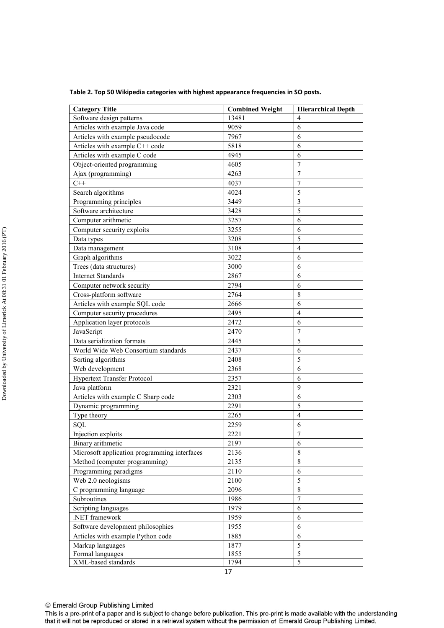**Table 2. Top 50 Wikipedia categories with highest appearance frequencies in SO posts.** 

| <b>Category Title</b>                        | <b>Combined Weight</b> | <b>Hierarchical Depth</b> |  |
|----------------------------------------------|------------------------|---------------------------|--|
| Software design patterns                     | 13481                  | 4                         |  |
| Articles with example Java code              | 9059                   | 6                         |  |
| Articles with example pseudocode             | 7967                   | 6                         |  |
| Articles with example C++ code               | 5818                   | 6                         |  |
| Articles with example C code                 | 4945                   | 6                         |  |
| Object-oriented programming                  | 4605                   | $\overline{7}$            |  |
| Ajax (programming)                           | 4263                   | $\tau$                    |  |
| $C++$                                        | 4037                   | $\boldsymbol{7}$          |  |
| Search algorithms                            | 4024                   | 5                         |  |
| Programming principles                       | 3449                   | $\mathfrak{Z}$            |  |
| Software architecture                        | 3428                   | 5                         |  |
| Computer arithmetic                          | 3257                   | 6                         |  |
| Computer security exploits                   | 3255                   | 6                         |  |
| Data types                                   | 3208                   | 5                         |  |
| Data management                              | 3108                   | $\overline{4}$            |  |
| Graph algorithms                             | 3022                   | 6                         |  |
| Trees (data structures)                      | 3000                   | 6                         |  |
| <b>Internet Standards</b>                    | 2867                   | 6                         |  |
| Computer network security                    | 2794                   | 6                         |  |
| Cross-platform software                      | 2764                   | $\,$ 8 $\,$               |  |
| Articles with example SQL code               | 2666                   | 6                         |  |
| Computer security procedures                 | 2495                   | $\overline{4}$            |  |
| Application layer protocols                  | 2472                   | 6                         |  |
| JavaScript                                   | 2470                   | 7                         |  |
| Data serialization formats                   | 2445                   | 5                         |  |
| World Wide Web Consortium standards          | 2437                   | 6                         |  |
| Sorting algorithms                           | 2408                   | 5                         |  |
| Web development                              | 2368                   | 6                         |  |
| Hypertext Transfer Protocol                  | 2357                   | 6                         |  |
| Java platform                                | 2321                   | 9                         |  |
| Articles with example C Sharp code           | 2303                   | 6                         |  |
| Dynamic programming                          | 2291                   | 5                         |  |
| Type theory                                  | 2265                   | $\overline{4}$            |  |
| SQL                                          | 2259                   | 6                         |  |
| Injection exploits                           | 2221                   | $\tau$                    |  |
| Binary arithmetic                            | 2197                   | 6                         |  |
| Microsoft application programming interfaces | 2136                   | 8                         |  |
| Method (computer programming)                | 2135                   | $\,$ 8 $\,$               |  |
| Programming paradigms                        | 2110                   | 6                         |  |
| Web 2.0 neologisms                           | 2100                   | 5                         |  |
| C programming language                       | 2096                   | $\,$ 8 $\,$               |  |
| Subroutines                                  | 1986                   | $\overline{7}$            |  |
| Scripting languages                          | 1979                   | 6                         |  |
| .NET framework                               | 1959                   | 6                         |  |
| Software development philosophies            | 1955                   | 6                         |  |
| Articles with example Python code            | 1885                   | 6                         |  |
| Markup languages                             | 1877                   | 5                         |  |
| Formal languages                             | 1855                   | 5                         |  |
| XML-based standards                          | 1794                   | 5                         |  |

© Emerald Group Publishing Limited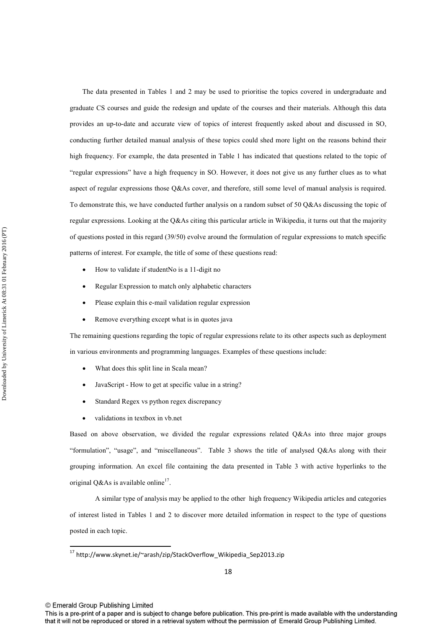The data presented in Tables 1 and 2 may be used to prioritise the topics covered in undergraduate and graduate CS courses and guide the redesign and update of the courses and their materials. Although this data provides an up-to-date and accurate view of topics of interest frequently asked about and discussed in SO, conducting further detailed manual analysis of these topics could shed more light on the reasons behind their high frequency. For example, the data presented in Table 1 has indicated that questions related to the topic of "regular expressions" have a high frequency in SO. However, it does not give us any further clues as to what aspect of regular expressions those Q&As cover, and therefore, still some level of manual analysis is required. To demonstrate this, we have conducted further analysis on a random subset of 50 Q&As discussing the topic of regular expressions. Looking at the Q&As citing this particular article in Wikipedia, it turns out that the majority of questions posted in this regard (39/50) evolve around the formulation of regular expressions to match specific patterns of interest. For example, the title of some of these questions read:

- How to validate if studentNo is a 11-digit no
- Regular Expression to match only alphabetic characters
- Please explain this e-mail validation regular expression
- Remove everything except what is in quotes java

The remaining questions regarding the topic of regular expressions relate to its other aspects such as deployment in various environments and programming languages. Examples of these questions include:

- What does this split line in Scala mean?
- JavaScript How to get at specific value in a string?
- Standard Regex vs python regex discrepancy
- validations in textbox in vb.net

Based on above observation, we divided the regular expressions related Q&As into three major groups "formulation", "usage", and "miscellaneous". Table 3 shows the title of analysed Q&As along with their grouping information. An excel file containing the data presented in Table 3 with active hyperlinks to the original Q&As is available online<sup>17</sup>.

A similar type of analysis may be applied to the other high frequency Wikipedia articles and categories of interest listed in Tables 1 and 2 to discover more detailed information in respect to the type of questions posted in each topic.

© Emerald Group Publishing Limited

 $\overline{a}$ 

<sup>&</sup>lt;sup>17</sup> http://www.skynet.ie/~arash/zip/StackOverflow\_Wikipedia\_Sep2013.zip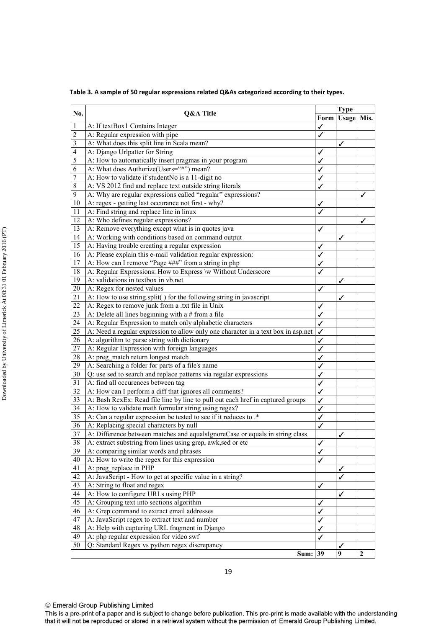**Table 3. A sample of 50 regular expressions related Q&As categorized according to their types.** 

| No.                     | Q&A Title                                                                         | <b>Type</b> |              |                |
|-------------------------|-----------------------------------------------------------------------------------|-------------|--------------|----------------|
|                         |                                                                                   | Form        | <b>Usage</b> | Mis.           |
| 1                       | A: If textBox1 Contains Integer                                                   | ✓           |              |                |
| $\overline{\mathbf{c}}$ | A: Regular expression with pipe                                                   | ✓           |              |                |
| $\overline{\mathbf{3}}$ | A: What does this split line in Scala mean?                                       |             | ✓            |                |
| 4                       | A: Django Urlpatter for String                                                    |             |              |                |
| 5                       | A: How to automatically insert pragmas in your program                            | ✓           |              |                |
| 6                       | A: What does Authorize(Users="*") mean?                                           | ✓           |              |                |
| 7                       | A: How to validate if studentNo is a 11-digit no                                  |             |              |                |
| $\,$ 8 $\,$             | A: VS 2012 find and replace text outside string literals                          | ✓           |              |                |
| $\overline{9}$          | A: Why are regular expressions called "regular" expressions?                      |             |              |                |
| 10                      | A: regex - getting last occurance not first - why?                                | ✓           |              |                |
| 11                      | A: Find string and replace line in linux                                          | ✓           |              |                |
| 12                      | A: Who defines regular expressions?                                               |             |              | ✓              |
| 13                      | A: Remove everything except what is in quotes java                                | ✓           |              |                |
| 14                      | A: Working with conditions based on command output                                |             | ✓            |                |
| 15                      | A: Having trouble creating a regular expression                                   | ✓           |              |                |
| 16                      | A: Please explain this e-mail validation regular expression:                      | ✓           |              |                |
| 17                      | A: How can I remove "Page ###" from a string in php                               | ✓           |              |                |
| 18                      | A: Regular Expressions: How to Express \w Without Underscore                      |             |              |                |
| 19                      | A: validations in textbox in vb.net                                               |             | ✓            |                |
| 20                      | A: Regex for nested values                                                        | ✓           |              |                |
| 21                      | A: How to use string.split() for the following string in javascript               |             | ✓            |                |
| 22                      | A: Regex to remove junk from a .txt file in Unix                                  | ✓           |              |                |
| 23                      | A: Delete all lines beginning with a $#$ from a file                              | ✓           |              |                |
| 24                      | A: Regular Expression to match only alphabetic characters                         | ✓           |              |                |
| 25                      | A: Need a regular expression to allow only one character in a text box in asp.net | ✓           |              |                |
| 26                      | A: algorithm to parse string with dictionary                                      | ✓           |              |                |
| 27                      | A: Regular Expression with foreign languages                                      |             |              |                |
| 28                      | A: preg_match return longest match                                                |             |              |                |
| 29                      | A: Searching a folder for parts of a file's name                                  |             |              |                |
| 30                      | Q: use sed to search and replace patterns via regular expressions                 |             |              |                |
| 31                      | A: find all occurences between tag                                                |             |              |                |
| 32                      | A: How can I perform a diff that ignores all comments?                            | ✓           |              |                |
| 33                      | A: Bash RexEx: Read file line by line to pull out each href in captured groups    | ✓           |              |                |
| 34                      | A: How to validate math formular string using regex?                              | ✓           |              |                |
| 35                      | A: Can a regular expression be tested to see if it reduces to .*                  | ✓           |              |                |
| 36                      | A: Replacing special characters by null                                           | ✓           |              |                |
| $\overline{37}$         | A: Difference between matches and equalsIgnoreCase or equals in string class      | ✓           |              |                |
| 38                      | A: extract substring from lines using grep, awk, sed or etc                       |             | ✓            |                |
| 39                      | A: comparing similar words and phrases                                            | ✓           |              |                |
| 40                      | A: How to write the regex for this expression                                     | ✓           |              |                |
| 41                      |                                                                                   | ✓           |              |                |
| 42                      | A: preg replace in PHP                                                            |             |              |                |
|                         | A: JavaScript - How to get at specific value in a string?                         |             | ✓            |                |
| 43                      | A: String to float and regex<br>A: How to configure URLs using PHP                | ✓           |              |                |
| 44                      |                                                                                   |             | ✓            |                |
| 45                      | A: Grouping text into sections algorithm                                          | ✓           |              |                |
| 46                      | A: Grep command to extract email addresses                                        | ✓           |              |                |
| 47                      | A: JavaScript regex to extract text and number                                    | ✓           |              |                |
| 48                      | A: Help with capturing URL fragment in Django                                     | ✓           |              |                |
| 49                      | A: php regular expression for video swf                                           | √           |              |                |
| 50                      | Q: Standard Regex vs python regex discrepancy                                     |             |              |                |
|                         | Sum: 39                                                                           |             | 9            | $\overline{2}$ |

This is a pre-print of a paper and is subject to change before publication. This pre-print is made available with the understanding that it will not be reproduced or stored in a retrieval system without the permission of Emerald Group Publishing Limited.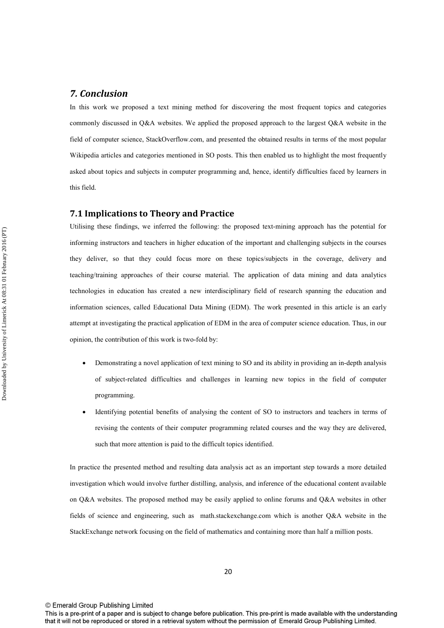## *7. Conclusion*

In this work we proposed a text mining method for discovering the most frequent topics and categories commonly discussed in Q&A websites. We applied the proposed approach to the largest Q&A website in the field of computer science, StackOverflow.com, and presented the obtained results in terms of the most popular Wikipedia articles and categories mentioned in SO posts. This then enabled us to highlight the most frequently asked about topics and subjects in computer programming and, hence, identify difficulties faced by learners in this field.

#### **7.1 Implications to Theory and Practice**

Utilising these findings, we inferred the following: the proposed text-mining approach has the potential for informing instructors and teachers in higher education of the important and challenging subjects in the courses they deliver, so that they could focus more on these topics/subjects in the coverage, delivery and teaching/training approaches of their course material. The application of data mining and data analytics technologies in education has created a new interdisciplinary field of research spanning the education and information sciences, called Educational Data Mining (EDM). The work presented in this article is an early attempt at investigating the practical application of EDM in the area of computer science education. Thus, in our opinion, the contribution of this work is two-fold by:

- Demonstrating a novel application of text mining to SO and its ability in providing an in-depth analysis of subject-related difficulties and challenges in learning new topics in the field of computer programming.
- Identifying potential benefits of analysing the content of SO to instructors and teachers in terms of revising the contents of their computer programming related courses and the way they are delivered, such that more attention is paid to the difficult topics identified.

In practice the presented method and resulting data analysis act as an important step towards a more detailed investigation which would involve further distilling, analysis, and inference of the educational content available on Q&A websites. The proposed method may be easily applied to online forums and Q&A websites in other fields of science and engineering, such as math.stackexchange.com which is another Q&A website in the StackExchange network focusing on the field of mathematics and containing more than half a million posts.

This is a pre-print of a paper and is subject to change before publication. This pre-print is made available with the understanding that it will not be reproduced or stored in a retrieval system without the permission of Emerald Group Publishing Limited.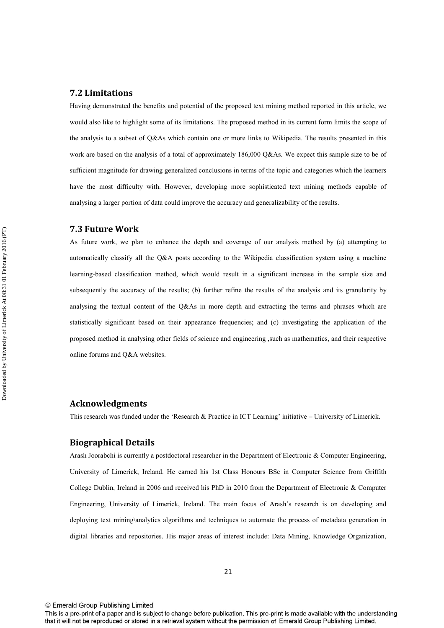#### **7.2 Limitations**

Having demonstrated the benefits and potential of the proposed text mining method reported in this article, we would also like to highlight some of its limitations. The proposed method in its current form limits the scope of the analysis to a subset of Q&As which contain one or more links to Wikipedia. The results presented in this work are based on the analysis of a total of approximately 186,000 Q&As. We expect this sample size to be of sufficient magnitude for drawing generalized conclusions in terms of the topic and categories which the learners have the most difficulty with. However, developing more sophisticated text mining methods capable of analysing a larger portion of data could improve the accuracy and generalizability of the results.

#### **7.3 Future Work**

As future work, we plan to enhance the depth and coverage of our analysis method by (a) attempting to automatically classify all the Q&A posts according to the Wikipedia classification system using a machine learning-based classification method, which would result in a significant increase in the sample size and subsequently the accuracy of the results; (b) further refine the results of the analysis and its granularity by analysing the textual content of the Q&As in more depth and extracting the terms and phrases which are statistically significant based on their appearance frequencies; and (c) investigating the application of the proposed method in analysing other fields of science and engineering ,such as mathematics, and their respective online forums and Q&A websites.

### **Acknowledgments**

This research was funded under the 'Research & Practice in ICT Learning' initiative – University of Limerick.

### **Biographical Details**

Arash Joorabchi is currently a postdoctoral researcher in the Department of Electronic & Computer Engineering, University of Limerick, Ireland. He earned his 1st Class Honours BSc in Computer Science from Griffith College Dublin, Ireland in 2006 and received his PhD in 2010 from the Department of Electronic & Computer Engineering, University of Limerick, Ireland. The main focus of Arash's research is on developing and deploying text mining\analytics algorithms and techniques to automate the process of metadata generation in digital libraries and repositories. His major areas of interest include: Data Mining, Knowledge Organization,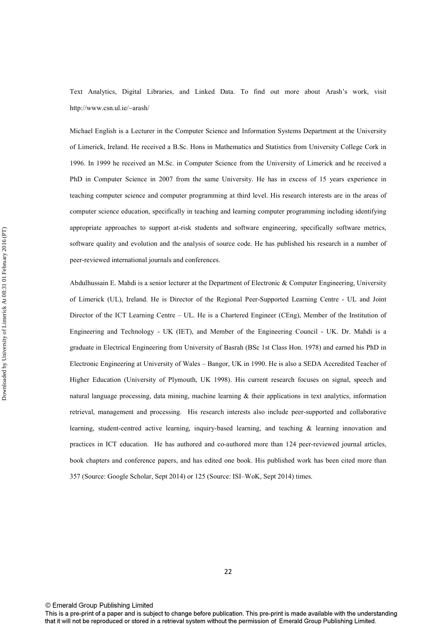Text Analytics, Digital Libraries, and Linked Data. To find out more about Arash's work, visit http://www.csn.ul.ie/~arash/

Michael English is a Lecturer in the Computer Science and Information Systems Department at the University of Limerick, Ireland. He received a B.Sc. Hons in Mathematics and Statistics from University College Cork in 1996. In 1999 he received an M.Sc. in Computer Science from the University of Limerick and he received a PhD in Computer Science in 2007 from the same University. He has in excess of 15 years experience in teaching computer science and computer programming at third level. His research interests are in the areas of computer science education, specifically in teaching and learning computer programming including identifying appropriate approaches to support at-risk students and software engineering, specifically software metrics, software quality and evolution and the analysis of source code. He has published his research in a number of peer-reviewed international journals and conferences.

Abdulhussain E. Mahdi is a senior lecturer at the Department of Electronic & Computer Engineering, University of Limerick (UL), Ireland. He is Director of the Regional Peer-Supported Learning Centre - UL and Joint Director of the ICT Learning Centre – UL. He is a Chartered Engineer (CEng), Member of the Institution of Engineering and Technology - UK (IET), and Member of the Engineering Council - UK. Dr. Mahdi is a graduate in Electrical Engineering from University of Basrah (BSc 1st Class Hon. 1978) and earned his PhD in Electronic Engineering at University of Wales – Bangor, UK in 1990. He is also a SEDA Accredited Teacher of Higher Education (University of Plymouth, UK 1998). His current research focuses on signal, speech and natural language processing, data mining, machine learning & their applications in text analytics, information retrieval, management and processing. His research interests also include peer-supported and collaborative learning, student-centred active learning, inquiry-based learning, and teaching & learning innovation and practices in ICT education. He has authored and co-authored more than 124 peer-reviewed journal articles, book chapters and conference papers, and has edited one book. His published work has been cited more than 357 (Source: Google Scholar, Sept 2014) or 125 (Source: ISI–WoK, Sept 2014) times.

© Emerald Group Publishing Limited

This is a pre-print of a paper and is subject to change before publication. This pre-print is made available with the understanding that it will not be reproduced or stored in a retrieval system without the permission of Emerald Group Publishing Limited.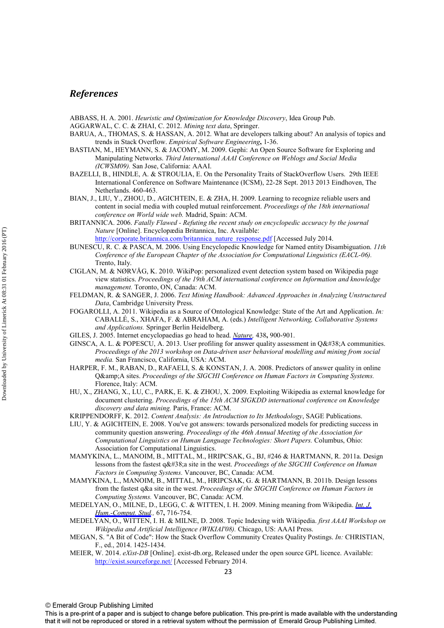# *References*

ABBASS, H. A. 2001. *Heuristic and Optimization for Knowledge Discovery*, Idea Group Pub.

- AGGARWAL, C. C. & ZHAI, C. 2012. *Mining text data*, Springer.
- BARUA, A., THOMAS, S. & HASSAN, A. 2012. What are developers talking about? An analysis of topics and trends in Stack Overflow. *Empirical Software Engineering***,** 1-36.
- BASTIAN, M., HEYMANN, S. & JACOMY, M. 2009. Gephi: An Open Source Software for Exploring and Manipulating Networks. *Third International AAAI Conference on Weblogs and Social Media (ICWSM09).* San Jose, California: AAAI.
- BAZELLI, B., HINDLE, A. & STROULIA, E. On the Personality Traits of StackOverflow Users. 29th IEEE International Conference on Software Maintenance (ICSM), 22-28 Sept. 2013 2013 Eindhoven, The Netherlands. 460-463.
- BIAN, J., LIU, Y., ZHOU, D., AGICHTEIN, E. & ZHA, H. 2009. Learning to recognize reliable users and content in social media with coupled mutual reinforcement. *Proceedings of the 18th international conference on World wide web.* Madrid, Spain: ACM.
- BRITANNICA. 2006. *Fatally Flawed Refuting the recent study on encyclopedic accuracy by the journal Nature* [Online]. Encyclopædia Britannica, Inc. Available: http://corporate.britannica.com/britannica\_nature\_response.pdf [Accessed July 2014.
- BUNESCU, R. C. & PASCA, M. 2006. Using Encyclopedic Knowledge for Named entity Disambiguation. *11th Conference of the European Chapter of the Association for Computational Linguistics (EACL-06).* Trento, Italy.
- CIGLAN, M. & NØRVÅG, K. 2010. WikiPop: personalized event detection system based on Wikipedia page view statistics. *Proceedings of the 19th ACM international conference on Information and knowledge management.* Toronto, ON, Canada: ACM.
- FELDMAN, R. & SANGER, J. 2006. *Text Mining Handbook: Advanced Approaches in Analyzing Unstructured Data*, Cambridge University Press.
- FOGAROLLI, A. 2011. Wikipedia as a Source of Ontological Knowledge: State of the Art and Application. *In:* CABALLÉ, S., XHAFA, F. & ABRAHAM, A. (eds.) *Intelligent Networking, Collaborative Systems and Applications.* Springer Berlin Heidelberg.
- GILES, J. 2005. Internet encyclopaedias go head to head. *[Nature](http://www.emeraldinsight.com/action/showLinks?crossref=10.1038%2F438900a&isi=000233934600022),* 438**,** 900-901.
- GINSCA, A. L. & POPESCU, A. 2013. User profiling for answer quality assessment in  $Q&A$  communities. *Proceedings of the 2013 workshop on Data-driven user behavioral modelling and mining from social media.* San Francisco, California, USA: ACM.
- HARPER, F. M., RABAN, D., RAFAELI, S. & KONSTAN, J. A. 2008. Predictors of answer quality in online Q&A sites. Proceedings of the SIGCHI Conference on Human Factors in Computing Systems. Florence, Italy: ACM.
- HU, X., ZHANG, X., LU, C., PARK, E. K. & ZHOU, X. 2009. Exploiting Wikipedia as external knowledge for document clustering. *Proceedings of the 15th ACM SIGKDD international conference on Knowledge discovery and data mining.* Paris, France: ACM.
- KRIPPENDORFF, K. 2012. *Content Analysis: An Introduction to Its Methodology*, SAGE Publications.
- LIU, Y. & AGICHTEIN, E. 2008. You've got answers: towards personalized models for predicting success in community question answering. *Proceedings of the 46th Annual Meeting of the Association for Computational Linguistics on Human Language Technologies: Short Papers.* Columbus, Ohio: Association for Computational Linguistics.
- MAMYKINA, L., MANOIM, B., MITTAL, M., HRIPCSAK, G., BJ, #246 & HARTMANN, R. 2011a. Design lessons from the fastest q&a site in the west. *Proceedings of the SIGCHI Conference on Human Factors in Computing Systems.* Vancouver, BC, Canada: ACM.
- MAMYKINA, L., MANOIM, B., MITTAL, M., HRIPCSAK, G. & HARTMANN, B. 2011b. Design lessons from the fastest q&a site in the west. *Proceedings of the SIGCHI Conference on Human Factors in Computing Systems.* Vancouver, BC, Canada: ACM.
- MEDELYAN, O., MILNE, D., LEGG, C. & WITTEN, I. H. 2009. Mining meaning from Wikipedia. *[Int. J.](http://www.emeraldinsight.com/action/showLinks?crossref=10.1016%2Fj.ijhcs.2009.05.004&isi=000269430300003)  [Hum.-Comput. Stud](http://www.emeraldinsight.com/action/showLinks?crossref=10.1016%2Fj.ijhcs.2009.05.004&isi=000269430300003).,* 67**,** 716-754.
- MEDELYAN, O., WITTEN, I. H. & MILNE, D. 2008. Topic Indexing with Wikipedia. *first AAAI Workshop on Wikipedia and Artificial Intelligence (WIKIAI'08).* Chicago, US: AAAI Press.
- MEGAN, S. "A Bit of Code": How the Stack Overflow Community Creates Quality Postings. *In:* CHRISTIAN, F., ed., 2014. 1425-1434.
- MEIER, W. 2014. *eXist-DB* [Online]. exist-db.org, Released under the open source GPL licence. Available: http://exist.sourceforge.net/ [Accessed February 2014.

This is a pre-print of a paper and is subject to change before publication. This pre-print is made available with the understanding that it will not be reproduced or stored in a retrieval system without the permission of Emerald Group Publishing Limited.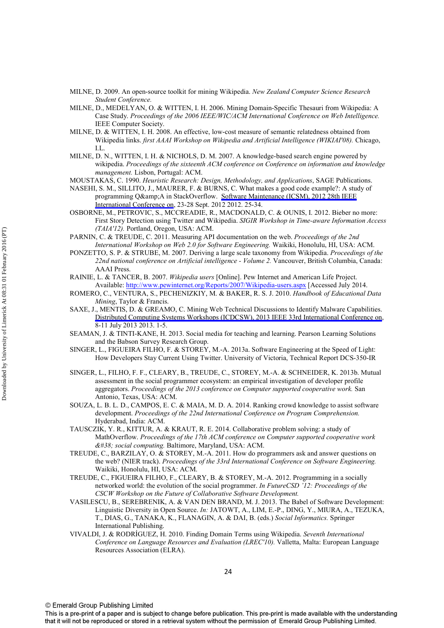- MILNE, D. 2009. An open-source toolkit for mining Wikipedia. *New Zealand Computer Science Research Student Conference.*
- MILNE, D., MEDELYAN, O. & WITTEN, I. H. 2006. Mining Domain-Specific Thesauri from Wikipedia: A Case Study. *Proceedings of the 2006 IEEE/WIC/ACM International Conference on Web Intelligence.* IEEE Computer Society.
- MILNE, D. & WITTEN, I. H. 2008. An effective, low-cost measure of semantic relatedness obtained from Wikipedia links. *first AAAI Workshop on Wikipedia and Artificial Intelligence (WIKIAI'08).* Chicago, I.L.
- MILNE, D. N., WITTEN, I. H. & NICHOLS, D. M. 2007. A knowledge-based search engine powered by wikipedia. *Proceedings of the sixteenth ACM conference on Conference on information and knowledge management.* Lisbon, Portugal: ACM.
- MOUSTAKAS, C. 1990. *Heuristic Research: Design, Methodology, and Applications*, SAGE Publications.
- NASEHI, S. M., SILLITO, J., MAURER, F. & BURNS, C. What makes a good code example?: A study of programming Q&A in StackOverflow. [Software Maintenance \(ICSM\), 2012 28th IEEE](http://www.emeraldinsight.com/action/showLinks?crossref=10.1109%2FICSM.2012.6405249) [International Conference on,](http://www.emeraldinsight.com/action/showLinks?crossref=10.1109%2FICSM.2012.6405249) 23-28 Sept. 2012 2012. 25-34.
- OSBORNE, M., PETROVIC, S., MCCREADIE, R., MACDONALD, C. & OUNIS, I. 2012. Bieber no more: First Story Detection using Twitter and Wikipedia. *SIGIR Workshop in Time-aware Information Access (TAIA'12).* Portland, Oregon, USA: ACM.
- PARNIN, C. & TREUDE, C. 2011. Measuring API documentation on the web. *Proceedings of the 2nd International Workshop on Web 2.0 for Software Engineering.* Waikiki, Honolulu, HI, USA: ACM.
- PONZETTO, S. P. & STRUBE, M. 2007. Deriving a large scale taxonomy from Wikipedia. *Proceedings of the 22nd national conference on Artificial intelligence - Volume 2.* Vancouver, British Columbia, Canada: AAAI Press.
- RAINIE, L. & TANCER, B. 2007. *Wikipedia users* [Online]. Pew Internet and American Life Project. Available: http://www.pewinternet.org/Reports/2007/Wikipedia-users.aspx [Accessed July 2014.
- ROMERO, C., VENTURA, S., PECHENIZKIY, M. & BAKER, R. S. J. 2010. *Handbook of Educational Data Mining*, Taylor & Francis.
- SAXE, J., MENTIS, D. & GREAMO, C. Mining Web Technical Discussions to Identify Malware Capabilities. [Distributed Computing Systems Workshops \(ICDCSW\), 2013 IEEE 33rd International Conference on,](http://www.emeraldinsight.com/action/showLinks?crossref=10.1109%2FICDCSW.2013.56) 8-11 July 2013 2013. 1-5.
- SEAMAN, J. & TINTI-KANE, H. 2013. Social media for teaching and learning. Pearson Learning Solutions and the Babson Survey Research Group.
- SINGER, L., FIGUEIRA FILHO, F. & STOREY, M.-A. 2013a. Software Engineering at the Speed of Light: How Developers Stay Current Using Twitter. University of Victoria, Technical Report DCS-350-IR
- SINGER, L., FILHO, F. F., CLEARY, B., TREUDE, C., STOREY, M.-A. & SCHNEIDER, K. 2013b. Mutual assessment in the social programmer ecosystem: an empirical investigation of developer profile aggregators. *Proceedings of the 2013 conference on Computer supported cooperative work.* San Antonio, Texas, USA: ACM.
- SOUZA, L. B. L. D., CAMPOS, E. C. & MAIA, M. D. A. 2014. Ranking crowd knowledge to assist software development. *Proceedings of the 22nd International Conference on Program Comprehension.* Hyderabad, India: ACM.
- TAUSCZIK, Y. R., KITTUR, A. & KRAUT, R. E. 2014. Collaborative problem solving: a study of MathOverflow. *Proceedings of the 17th ACM conference on Computer supported cooperative work & social computing.* Baltimore, Maryland, USA: ACM.
- TREUDE, C., BARZILAY, O. & STOREY, M.-A. 2011. How do programmers ask and answer questions on the web? (NIER track). *Proceedings of the 33rd International Conference on Software Engineering.* Waikiki, Honolulu, HI, USA: ACM.
- TREUDE, C., FIGUEIRA FILHO, F., CLEARY, B. & STOREY, M.-A. 2012. Programming in a socially networked world: the evolution of the social programmer. *In FutureCSD '12: Proceedings of the CSCW Workshop on the Future of Collaborative Software Development.*
- VASILESCU, B., SEREBRENIK, A. & VAN DEN BRAND, M. J. 2013. The Babel of Software Development: Linguistic Diversity in Open Source. *In:* JATOWT, A., LIM, E.-P., DING, Y., MIURA, A., TEZUKA, T., DIAS, G., TANAKA, K., FLANAGIN, A. & DAI, B. (eds.) *Social Informatics.* Springer International Publishing.
- VIVALDI, J. & RODRÍGUEZ, H. 2010. Finding Domain Terms using Wikipedia. *Seventh International Conference on Language Resources and Evaluation (LREC'10).* Valletta, Malta: European Language Resources Association (ELRA).

This is a pre-print of a paper and is subject to change before publication. This pre-print is made available with the understanding that it will not be reproduced or stored in a retrieval system without the permission of Emerald Group Publishing Limited.